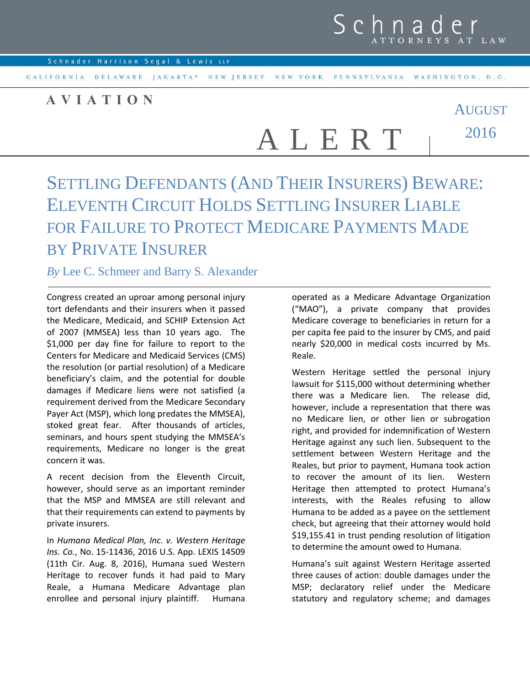

AUGUST

CALIFORNIA DELAWARE JAKARTA\* NEW JERSEY NEW YORK PENNSYLVANIA WASHINGTON, D.C.

## **A V I A T I O N**

2016 A L E R T

## SETTLING DEFENDANTS (AND THEIR INSURERS) BEWARE: ELEVENTH CIRCUIT HOLDS SETTLING INSURER LIABLE FOR FAILURE TO PROTECT MEDICARE PAYMENTS MADE BY PRIVATE INSURER

## *By* Lee C. Schmeer and Barry S. Alexander

Congress created an uproar among personal injury tort defendants and their insurers when it passed the Medicare, Medicaid, and SCHIP Extension Act of 2007 (MMSEA) less than 10 years ago. The \$1,000 per day fine for failure to report to the Centers for Medicare and Medicaid Services (CMS) the resolution (or partial resolution) of a Medicare beneficiary's claim, and the potential for double damages if Medicare liens were not satisfied (a requirement derived from the Medicare Secondary Payer Act (MSP), which long predates the MMSEA), stoked great fear. After thousands of articles, seminars, and hours spent studying the MMSEA's requirements, Medicare no longer is the great concern it was.

A recent decision from the Eleventh Circuit, however, should serve as an important reminder that the MSP and MMSEA are still relevant and that their requirements can extend to payments by private insurers.

In *Humana Medical Plan, Inc. v. Western Heritage Ins. Co.*, No. 15-11436, 2016 U.S. App. LEXIS 14509 (11th Cir. Aug. 8, 2016), Humana sued Western Heritage to recover funds it had paid to Mary Reale, a Humana Medicare Advantage plan enrollee and personal injury plaintiff. Humana

operated as a Medicare Advantage Organization ("MAO"), a private company that provides Medicare coverage to beneficiaries in return for a per capita fee paid to the insurer by CMS, and paid nearly \$20,000 in medical costs incurred by Ms. Reale.

Western Heritage settled the personal injury lawsuit for \$115,000 without determining whether there was a Medicare lien. The release did, however, include a representation that there was no Medicare lien, or other lien or subrogation right, and provided for indemnification of Western Heritage against any such lien. Subsequent to the settlement between Western Heritage and the Reales, but prior to payment, Humana took action to recover the amount of its lien. Western Heritage then attempted to protect Humana's interests, with the Reales refusing to allow Humana to be added as a payee on the settlement check, but agreeing that their attorney would hold \$19,155.41 in trust pending resolution of litigation to determine the amount owed to Humana.

Humana's suit against Western Heritage asserted three causes of action: double damages under the MSP; declaratory relief under the Medicare statutory and regulatory scheme; and damages